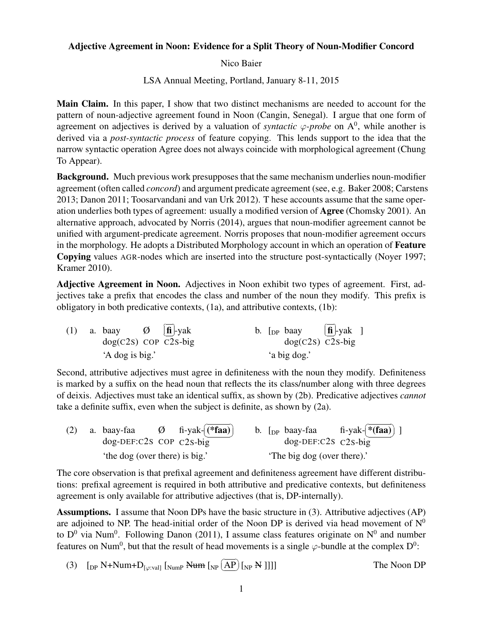## Adjective Agreement in Noon: Evidence for a Split Theory of Noun-Modifier Concord

Nico Baier

LSA Annual Meeting, Portland, January 8-11, 2015

Main Claim. In this paper, I show that two distinct mechanisms are needed to account for the pattern of noun-adjective agreement found in Noon (Cangin, Senegal). I argue that one form of agreement on adjectives is derived by a valuation of *syntactic*  $\varphi$ -probe on A<sup>0</sup>, while another is derived via a *post-syntactic process* of feature copying. This lends support to the idea that the narrow syntactic operation Agree does not always coincide with morphological agreement (Chung To Appear).

**Background.** Much previous work presupposes that the same mechanism underlies noun-modifier agreement (often called *concord*) and argument predicate agreement (see, e.g. Baker 2008; Carstens 2013; Danon 2011; Toosarvandani and van Urk 2012). T hese accounts assume that the same operation underlies both types of agreement: usually a modified version of Agree (Chomsky 2001). An alternative approach, advocated by Norris (2014), argues that noun-modifier agreement cannot be unified with argument-predicate agreement. Norris proposes that noun-modifier agreement occurs in the morphology. He adopts a Distributed Morphology account in which an operation of Feature Copying values AGR-nodes which are inserted into the structure post-syntactically (Noyer 1997; Kramer 2010).

Adjective Agreement in Noon. Adjectives in Noon exhibit two types of agreement. First, adjectives take a prefix that encodes the class and number of the noun they modify. This prefix is obligatory in both predicative contexts, (1a), and attributive contexts, (1b):

| (1) | a. baay $\emptyset$   fi  -yak<br>$dog(C2s)$ COP C2S-big |  |              |  | b. [ <sub>DP</sub> baay $[\hat{\mathbf{n}}]$ -yak ]<br>$dog(C2s)$ C <sub>2</sub> s-big |  |  |
|-----|----------------------------------------------------------|--|--------------|--|----------------------------------------------------------------------------------------|--|--|
|     | 'A dog is big.'                                          |  | 'a big dog.' |  |                                                                                        |  |  |

Second, attributive adjectives must agree in definiteness with the noun they modify. Definiteness is marked by a suffix on the head noun that reflects the its class/number along with three degrees of deixis. Adjectives must take an identical suffix, as shown by (2b). Predicative adjectives *cannot* take a definite suffix, even when the subject is definite, as shown by (2a).

| (2) |  | a. baay-faa<br>$dog$ -DEF:C2S COP $C2s$ -big |  | $\varnothing$ fi-yak- $\left[$ (* <b>faa</b> ) |  |                             | b. $\lceil_{DP}$ baay-faa<br>$dog$ -DEF:C2S C2S-big | fi-yak- $*$ (faa) ] |  |
|-----|--|----------------------------------------------|--|------------------------------------------------|--|-----------------------------|-----------------------------------------------------|---------------------|--|
|     |  | 'the dog (over there) is big.'               |  |                                                |  | 'The big dog (over there).' |                                                     |                     |  |

The core observation is that prefixal agreement and definiteness agreement have different distributions: prefixal agreement is required in both attributive and predicative contexts, but definiteness agreement is only available for attributive adjectives (that is, DP-internally).

Assumptions. I assume that Noon DPs have the basic structure in (3). Attributive adjectives (AP) are adjoined to NP. The head-initial order of the Noon DP is derived via head movement of  $N^0$ to  $D^0$  via Num<sup>0</sup>. Following Danon (2011), I assume class features originate on  $N^0$  and number features on Num<sup>0</sup>, but that the result of head movements is a single  $\varphi$ -bundle at the complex  $D^0$ :

(3)  $\left[$ <sub>DP</sub> N+Num+D<sub>[ $\varphi$ :val]</sub>  $\left[$ <sub>NumP</sub> Num  $\left[$ <sub>NP</sub> $\left[$ ✝  $\overline{AP}$  [<sub>NP</sub> N ]]]] The Noon DP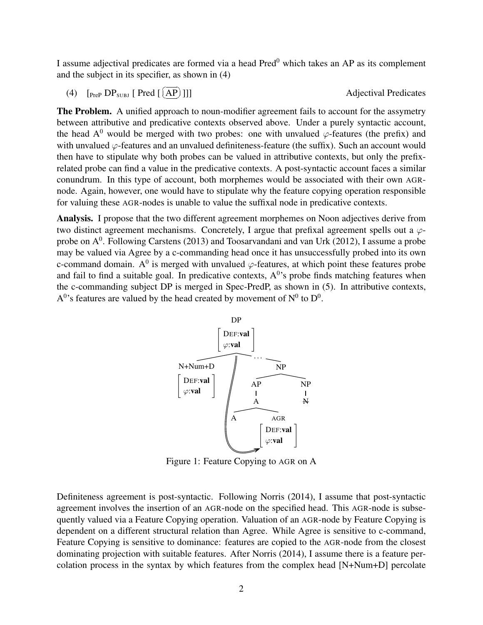I assume adjectival predicates are formed via a head Pred<sup>0</sup> which takes an AP as its complement and the subject in its specifier, as shown in (4)

(4)  $[$   $[$   $]$   $[$   $]$   $[$   $]$   $[$   $]$   $[$   $]$   $[$   $[$   $]$   $[$   $]$   $[$   $]$   $[$   $]$   $[$   $]$   $[$   $]$   $[$   $]$   $[$   $]$   $[$   $]$   $[$   $]$   $[$   $]$   $[$   $]$   $[$   $]$   $[$   $]$   $[$   $]$   $[$   $]$   $[$   $]$   $[$   $]$   $[$   $]$   $[$   $]$   $[$   $]$  ✝ .<br>س

Adjectival Predicates

The Problem. A unified approach to noun-modifier agreement fails to account for the assymetry between attributive and predicative contexts observed above. Under a purely syntactic account, the head  $A^0$  would be merged with two probes: one with unvalued  $\varphi$ -features (the prefix) and with unvalued *φ*-features and an unvalued definiteness-feature (the suffix). Such an account would then have to stipulate why both probes can be valued in attributive contexts, but only the prefixrelated probe can find a value in the predicative contexts. A post-syntactic account faces a similar conundrum. In this type of account, both morphemes would be associated with their own AGRnode. Again, however, one would have to stipulate why the feature copying operation responsible for valuing these AGR-nodes is unable to value the suffixal node in predicative contexts.

Analysis. I propose that the two different agreement morphemes on Noon adjectives derive from two distinct agreement mechanisms. Concretely, I argue that prefixal agreement spells out a *φ*probe on  $A^0$ . Following Carstens (2013) and Toosarvandani and van Urk (2012), I assume a probe may be valued via Agree by a c-commanding head once it has unsuccessfully probed into its own c-command domain. A<sup>0</sup> is merged with unvalued  $\varphi$ -features, at which point these features probe and fail to find a suitable goal. In predicative contexts,  $A^0$ 's probe finds matching features when the c-commanding subject DP is merged in Spec-PredP, as shown in (5). In attributive contexts,  $A<sup>0</sup>$ 's features are valued by the head created by movement of  $N<sup>0</sup>$  to  $D<sup>0</sup>$ .



Figure 1: Feature Copying to AGR on A

Definiteness agreement is post-syntactic. Following Norris (2014), I assume that post-syntactic agreement involves the insertion of an AGR-node on the specified head. This AGR-node is subsequently valued via a Feature Copying operation. Valuation of an AGR-node by Feature Copying is dependent on a different structural relation than Agree. While Agree is sensitive to c-command, Feature Copying is sensitive to dominance: features are copied to the AGR-node from the closest dominating projection with suitable features. After Norris (2014), I assume there is a feature percolation process in the syntax by which features from the complex head [N+Num+D] percolate